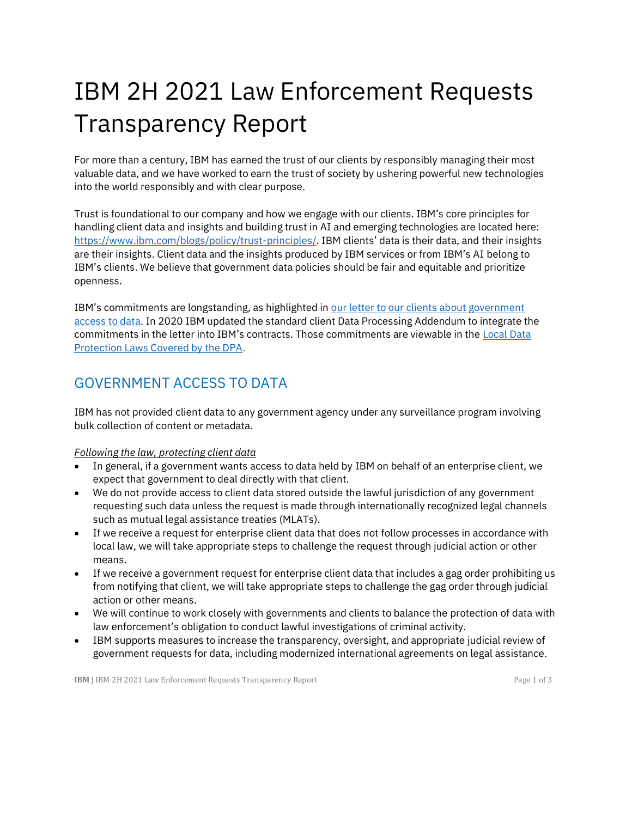# IBM 2H 2021 Law Enforcement Requests Transparency Report

For more than a century, IBM has earned the trust of our clients by responsibly managing their most valuable data, and we have worked to earn the trust of society by ushering powerful new technologies into the world responsibly and with clear purpose.

Trust is foundational to our company and how we engage with our clients. IBM's core principles for handling client data and insights and building trust in AI and emerging technologies are located here: [https://www.ibm.com/blogs/policy/trust-principles/.](https://www.ibm.com/blogs/policy/trust-principles/) IBM clients' data is their data, and their insights are their insights. Client data and the insights produced by IBM services or from IBM's AI belong to IBM's clients. We believe that government data policies should be fair and equitable and prioritize openness.

IBM's commitments are longstanding, as highlighted in [our letter to our clients about government](https://www.ibm.com/blogs/think/2014/03/open-letter-data/)  [access to data.](https://www.ibm.com/blogs/think/2014/03/open-letter-data/) In 2020 IBM updated the standard client Data Processing Addendum to integrate the commitments in the letter into IBM's contracts. Those commitments are viewable in the [Local Data](https://www.ibm.com/support/customer/csol/terms/)  [Protection Laws Covered by the DPA.](https://www.ibm.com/support/customer/csol/terms/)

## GOVERNMENT ACCESS TO DATA

IBM has not provided client data to any government agency under any surveillance program involving bulk collection of content or metadata.

*Following the law, protecting client data* 

- In general, if a government wants access to data held by IBM on behalf of an enterprise client, we expect that government to deal directly with that client.
- We do not provide access to client data stored outside the lawful jurisdiction of any government requesting such data unless the request is made through internationally recognized legal channels such as mutual legal assistance treaties (MLATs).
- If we receive a request for enterprise client data that does not follow processes in accordance with local law, we will take appropriate steps to challenge the request through judicial action or other means.
- If we receive a government request for enterprise client data that includes a gag order prohibiting us from notifying that client, we will take appropriate steps to challenge the gag order through judicial action or other means.
- We will continue to work closely with governments and clients to balance the protection of data with law enforcement's obligation to conduct lawful investigations of criminal activity.
- IBM supports measures to increase the transparency, oversight, and appropriate judicial review of government requests for data, including modernized international agreements on legal assistance.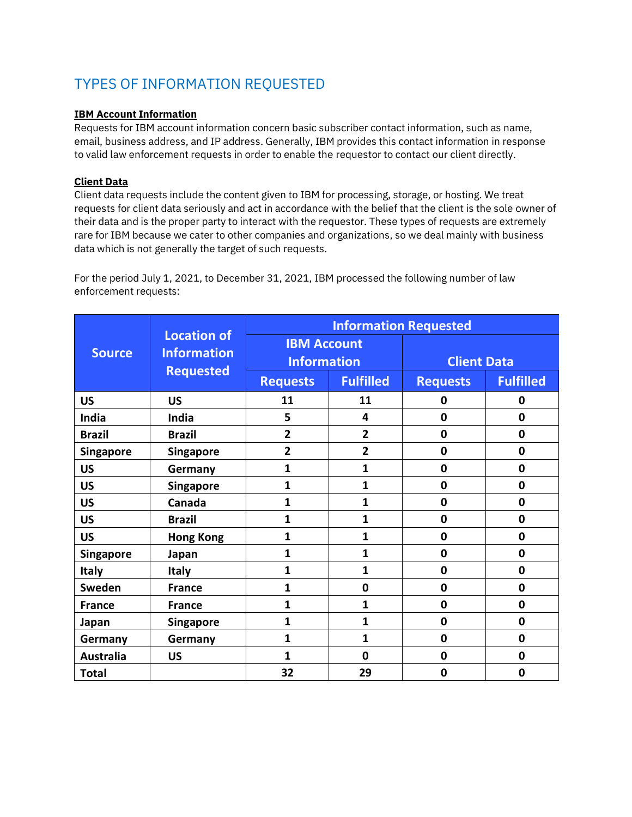## TYPES OF INFORMATION REQUESTED

#### **IBM Account Information**

Requests for IBM account information concern basic subscriber contact information, such as name, email, business address, and IP address. Generally, IBM provides this contact information in response to valid law enforcement requests in order to enable the requestor to contact our client directly.

#### **Client Data**

Client data requests include the content given to IBM for processing, storage, or hosting. We treat requests for client data seriously and act in accordance with the belief that the client is the sole owner of their data and is the proper party to interact with the requestor. These types of requests are extremely rare for IBM because we cater to other companies and organizations, so we deal mainly with business data which is not generally the target of such requests.

For the period July 1, 2021, to December 31, 2021, IBM processed the following number of law enforcement requests:

| <b>Source</b>    | <b>Location of</b><br><b>Information</b><br><b>Requested</b> | <b>Information Requested</b>             |                         |                    |                  |
|------------------|--------------------------------------------------------------|------------------------------------------|-------------------------|--------------------|------------------|
|                  |                                                              | <b>IBM Account</b><br><b>Information</b> |                         | <b>Client Data</b> |                  |
|                  |                                                              | <b>Requests</b>                          | <b>Fulfilled</b>        | <b>Requests</b>    | <b>Fulfilled</b> |
| <b>US</b>        | <b>US</b>                                                    | 11                                       | 11                      | 0                  | 0                |
| India            | India                                                        | 5                                        | $\overline{\mathbf{4}}$ | $\mathbf{0}$       | $\mathbf{0}$     |
| <b>Brazil</b>    | <b>Brazil</b>                                                | $\overline{2}$                           | $\overline{2}$          | $\mathbf 0$        | $\mathbf 0$      |
| <b>Singapore</b> | <b>Singapore</b>                                             | $\overline{2}$                           | $\overline{2}$          | $\mathbf 0$        | $\mathbf 0$      |
| <b>US</b>        | Germany                                                      | 1                                        | 1                       | $\mathbf 0$        | $\mathbf 0$      |
| <b>US</b>        | <b>Singapore</b>                                             | 1                                        | 1                       | $\mathbf 0$        | $\mathbf 0$      |
| <b>US</b>        | Canada                                                       | 1                                        | 1                       | $\mathbf 0$        | $\mathbf 0$      |
| <b>US</b>        | <b>Brazil</b>                                                | 1                                        | 1                       | $\mathbf 0$        | $\mathbf 0$      |
| <b>US</b>        | <b>Hong Kong</b>                                             | 1                                        | 1                       | $\mathbf 0$        | $\mathbf 0$      |
| Singapore        | Japan                                                        | 1                                        | 1                       | $\mathbf 0$        | $\mathbf 0$      |
| <b>Italy</b>     | <b>Italy</b>                                                 | 1                                        | 1                       | $\mathbf 0$        | $\mathbf 0$      |
| Sweden           | <b>France</b>                                                | 1                                        | $\bf{0}$                | $\mathbf 0$        | $\mathbf 0$      |
| <b>France</b>    | <b>France</b>                                                | 1                                        | 1                       | $\mathbf 0$        | $\mathbf 0$      |
| Japan            | Singapore                                                    | 1                                        | 1                       | $\mathbf 0$        | $\mathbf 0$      |
| Germany          | Germany                                                      | 1                                        | 1                       | $\mathbf 0$        | $\mathbf 0$      |
| <b>Australia</b> | <b>US</b>                                                    | 1                                        | 0                       | $\mathbf 0$        | $\mathbf 0$      |
| <b>Total</b>     |                                                              | 32                                       | 29                      | 0                  | 0                |